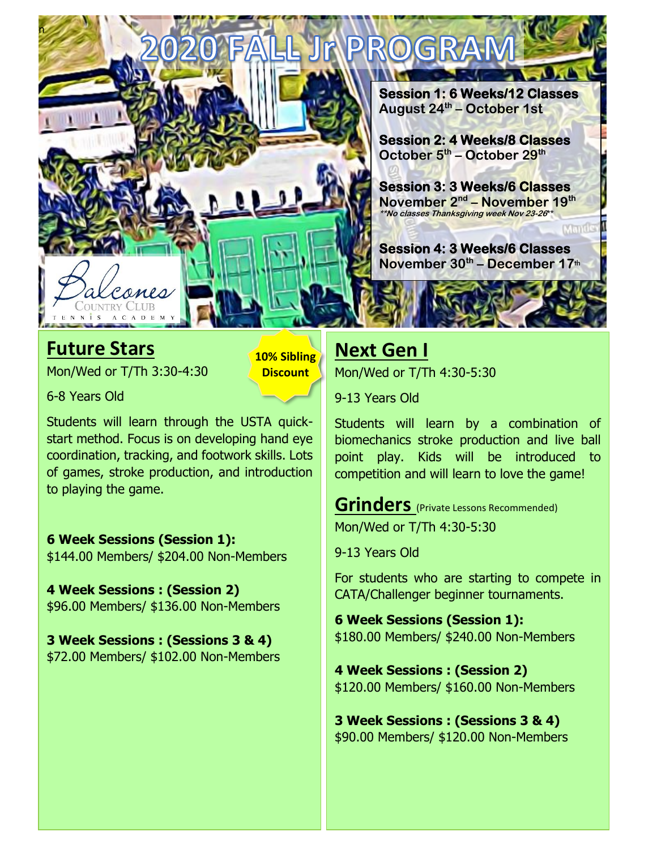

#### **Future Stars**

Mon/Wed or T/Th 3:30-4:30

**10% Sibling Discount**

6-8 Years Old

Students will learn through the USTA quickstart method. Focus is on developing hand eye coordination, tracking, and footwork skills. Lots of games, stroke production, and introduction to playing the game.

#### **6 Week Sessions (Session 1):**

\$144.00 Members/ \$204.00 Non-Members

**4 Week Sessions : (Session 2)** \$96.00 Members/ \$136.00 Non-Members

**3 Week Sessions : (Sessions 3 & 4)** \$72.00 Members/ \$102.00 Non-Members

# **Next Gen I**

Mon/Wed or T/Th 4:30-5:30

9-13 Years Old

Students will learn by a combination of biomechanics stroke production and live ball point play. Kids will be introduced to competition and will learn to love the game!

**Grinders** (Private Lessons Recommended) Mon/Wed or T/Th 4:30-5:30

9-13 Years Old

For students who are starting to compete in CATA/Challenger beginner tournaments.

**6 Week Sessions (Session 1):** \$180.00 Members/ \$240.00 Non-Members

**4 Week Sessions : (Session 2)** \$120.00 Members/ \$160.00 Non-Members

**3 Week Sessions : (Sessions 3 & 4)** \$90.00 Members/ \$120.00 Non-Members